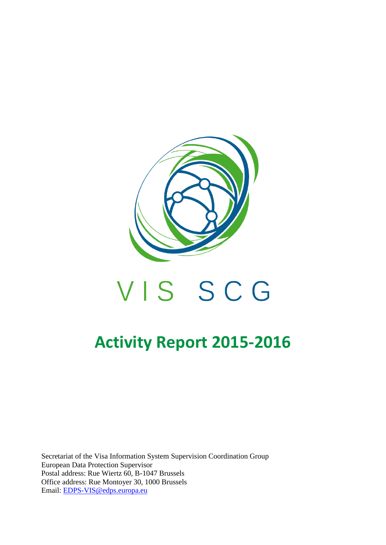

# VIS SCG

# **Activity Report 2015-2016**

Secretariat of the Visa Information System Supervision Coordination Group European Data Protection Supervisor Postal address: Rue Wiertz 60, B-1047 Brussels Office address: Rue Montoyer 30, 1000 Brussels Email: [EDPS-VIS@edps.europa.eu](mailto:EDPS-VIS@edps.europa.eu)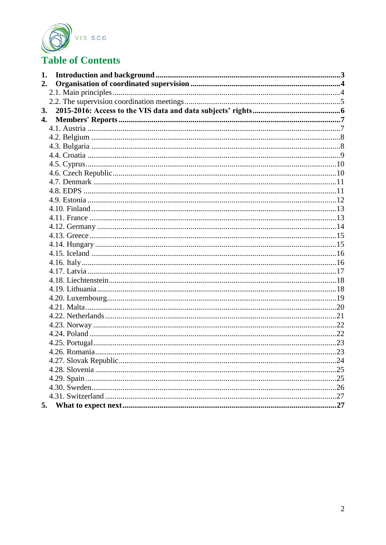

# **Table of Contents**

| 1. |                       |  |
|----|-----------------------|--|
| 2. |                       |  |
|    |                       |  |
|    |                       |  |
| 3. |                       |  |
| 4. |                       |  |
|    |                       |  |
|    |                       |  |
|    |                       |  |
|    |                       |  |
|    |                       |  |
|    |                       |  |
|    |                       |  |
|    |                       |  |
|    |                       |  |
|    |                       |  |
|    |                       |  |
|    |                       |  |
|    |                       |  |
|    |                       |  |
|    |                       |  |
|    |                       |  |
|    |                       |  |
|    |                       |  |
|    |                       |  |
|    |                       |  |
|    |                       |  |
|    |                       |  |
|    |                       |  |
|    |                       |  |
|    |                       |  |
|    |                       |  |
|    | 4.27. Slovak Republic |  |
|    |                       |  |
|    |                       |  |
|    |                       |  |
|    |                       |  |
| 5. |                       |  |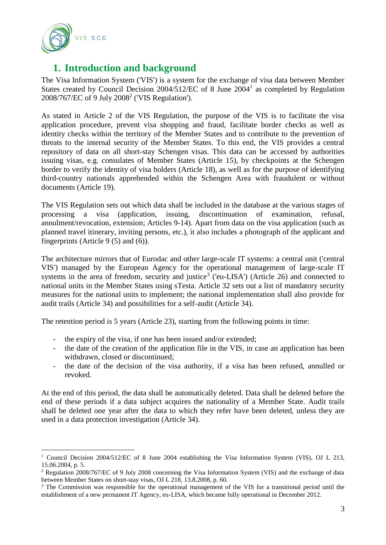

 $\overline{a}$ 

# <span id="page-2-0"></span>**1. Introduction and background**

The Visa Information System ('VIS') is a system for the exchange of visa data between Member States created by Council Decision 2004/512/EC of 8 June 2004<sup>1</sup> as completed by Regulation  $2008/767$ /EC of 9 July  $2008<sup>2</sup>$  ('VIS Regulation').

As stated in Article 2 of the VIS Regulation, the purpose of the VIS is to facilitate the visa application procedure, prevent visa shopping and fraud, facilitate border checks as well as identity checks within the territory of the Member States and to contribute to the prevention of threats to the internal security of the Member States. To this end, the VIS provides a central repository of data on all short-stay Schengen visas. This data can be accessed by authorities issuing visas, e.g. consulates of Member States (Article 15), by checkpoints at the Schengen border to verify the identity of visa holders (Article 18), as well as for the purpose of identifying third-country nationals apprehended within the Schengen Area with fraudulent or without documents (Article 19).

The VIS Regulation sets out which data shall be included in the database at the various stages of processing a visa (application, issuing, discontinuation of examination, refusal, annulment/revocation, extension; Articles 9-14). Apart from data on the visa application (such as planned travel itinerary, inviting persons, etc.), it also includes a photograph of the applicant and fingerprints (Article 9 (5) and (6)).

The architecture mirrors that of Eurodac and other large-scale IT systems: a central unit ('central VIS') managed by the European Agency for the operational management of large-scale IT systems in the area of freedom, security and justice<sup>3</sup> ('eu-LISA') (Article 26) and connected to national units in the Member States using sTesta. Article 32 sets out a list of mandatory security measures for the national units to implement; the national implementation shall also provide for audit trails (Article 34) and possibilities for a self-audit (Article 34).

The retention period is 5 years (Article 23), starting from the following points in time:

- the expiry of the visa, if one has been issued and/or extended;
- the date of the creation of the application file in the VIS, in case an application has been withdrawn, closed or discontinued;
- the date of the decision of the visa authority, if a visa has been refused, annulled or revoked.

At the end of this period, the data shall be automatically deleted. Data shall be deleted before the end of these periods if a data subject acquires the nationality of a Member State. Audit trails shall be deleted one year after the data to which they refer have been deleted, unless they are used in a data protection investigation (Article 34).

<sup>1</sup> Council Decision 2004/512/EC of 8 June 2004 establishing the Visa Information System (VIS), OJ L 213, 15.06.2004, p. 5.

<sup>&</sup>lt;sup>2</sup> Regulation 2008/767/EC of 9 July 2008 concerning the Visa Information System (VIS) and the exchange of data between Member States on short-stay visas, OJ L 218, 13.8.2008, p. 60.

<sup>&</sup>lt;sup>3</sup> The Commission was responsible for the operational management of the VIS for a transitional period until the establishment of a new permanent IT Agency, eu-LISA, which became fully operational in December 2012.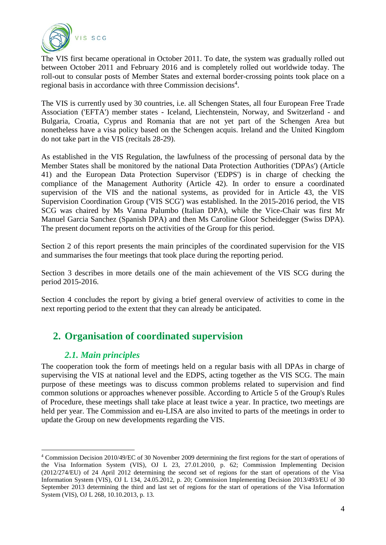

The VIS first became operational in October 2011. To date, the system was gradually rolled out between October 2011 and February 2016 and is completely rolled out worldwide today. The roll-out to consular posts of Member States and external border-crossing points took place on a regional basis in accordance with three Commission decisions<sup>4</sup>.

The VIS is currently used by 30 countries, i.e. all Schengen States, all four European Free Trade Association ('EFTA') member states - Iceland, Liechtenstein, Norway, and Switzerland - and Bulgaria, Croatia, Cyprus and Romania that are not yet part of the Schengen Area but nonetheless have a visa policy based on the Schengen acquis. Ireland and the United Kingdom do not take part in the VIS (recitals 28-29).

As established in the VIS Regulation, the lawfulness of the processing of personal data by the Member States shall be monitored by the national Data Protection Authorities ('DPAs') (Article 41) and the European Data Protection Supervisor ('EDPS') is in charge of checking the compliance of the Management Authority (Article 42). In order to ensure a coordinated supervision of the VIS and the national systems, as provided for in Article 43, the VIS Supervision Coordination Group ('VIS SCG') was established. In the 2015-2016 period, the VIS SCG was chaired by Ms Vanna Palumbo (Italian DPA), while the Vice-Chair was first Mr Manuel Garcia Sanchez (Spanish DPA) and then Ms Caroline Gloor Scheidegger (Swiss DPA). The present document reports on the activities of the Group for this period.

Section 2 of this report presents the main principles of the coordinated supervision for the VIS and summarises the four meetings that took place during the reporting period.

Section 3 describes in more details one of the main achievement of the VIS SCG during the period 2015-2016.

Section 4 concludes the report by giving a brief general overview of activities to come in the next reporting period to the extent that they can already be anticipated.

# <span id="page-3-1"></span><span id="page-3-0"></span>**2. Organisation of coordinated supervision**

#### *2.1. Main principles*

The cooperation took the form of meetings held on a regular basis with all DPAs in charge of supervising the VIS at national level and the EDPS, acting together as the VIS SCG. The main purpose of these meetings was to discuss common problems related to supervision and find common solutions or approaches whenever possible. According to Article 5 of the Group's Rules of Procedure, these meetings shall take place at least twice a year. In practice, two meetings are held per year. The Commission and eu-LISA are also invited to parts of the meetings in order to update the Group on new developments regarding the VIS.

 $\overline{a}$ <sup>4</sup> Commission Decision 2010/49/EC of 30 November 2009 determining the first regions for the start of operations of the Visa Information System (VIS), OJ L 23, 27.01.2010, p. 62; Commission Implementing Decision (2012/274/EU) of 24 April 2012 determining the second set of regions for the start of operations of the Visa Information System (VIS), OJ L 134, 24.05.2012, p. 20; Commission Implementing Decision 2013/493/EU of 30 September 2013 determining the third and last set of regions for the start of operations of the Visa Information System (VIS), OJ L 268, 10.10.2013, p. 13.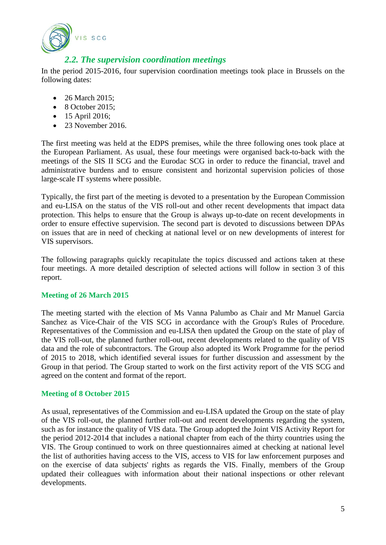

#### *2.2. The supervision coordination meetings*

<span id="page-4-0"></span>In the period 2015-2016, four supervision coordination meetings took place in Brussels on the following dates:

- 26 March 2015;
- $\bullet$  8 October 2015:
- 15 April 2016;
- $\bullet$  23 November 2016.

The first meeting was held at the EDPS premises, while the three following ones took place at the European Parliament. As usual, these four meetings were organised back-to-back with the meetings of the SIS II SCG and the Eurodac SCG in order to reduce the financial, travel and administrative burdens and to ensure consistent and horizontal supervision policies of those large-scale IT systems where possible.

Typically, the first part of the meeting is devoted to a presentation by the European Commission and eu-LISA on the status of the VIS roll-out and other recent developments that impact data protection. This helps to ensure that the Group is always up-to-date on recent developments in order to ensure effective supervision. The second part is devoted to discussions between DPAs on issues that are in need of checking at national level or on new developments of interest for VIS supervisors.

The following paragraphs quickly recapitulate the topics discussed and actions taken at these four meetings. A more detailed description of selected actions will follow in section 3 of this report.

#### **Meeting of 26 March 2015**

The meeting started with the election of Ms Vanna Palumbo as Chair and Mr Manuel Garcia Sanchez as Vice-Chair of the VIS SCG in accordance with the Group's Rules of Procedure. Representatives of the Commission and eu-LISA then updated the Group on the state of play of the VIS roll-out, the planned further roll-out, recent developments related to the quality of VIS data and the role of subcontractors. The Group also adopted its Work Programme for the period of 2015 to 2018, which identified several issues for further discussion and assessment by the Group in that period. The Group started to work on the first activity report of the VIS SCG and agreed on the content and format of the report.

#### **Meeting of 8 October 2015**

As usual, representatives of the Commission and eu-LISA updated the Group on the state of play of the VIS roll-out, the planned further roll-out and recent developments regarding the system, such as for instance the quality of VIS data. The Group adopted the Joint VIS Activity Report for the period 2012-2014 that includes a national chapter from each of the thirty countries using the VIS. The Group continued to work on three questionnaires aimed at checking at national level the list of authorities having access to the VIS, access to VIS for law enforcement purposes and on the exercise of data subjects' rights as regards the VIS. Finally, members of the Group updated their colleagues with information about their national inspections or other relevant developments.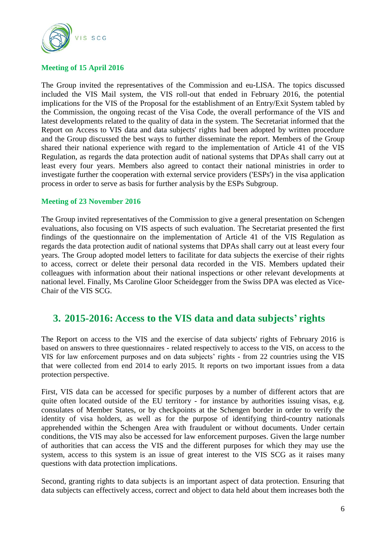

#### **Meeting of 15 April 2016**

The Group invited the representatives of the Commission and eu-LISA. The topics discussed included the VIS Mail system, the VIS roll-out that ended in February 2016, the potential implications for the VIS of the Proposal for the establishment of an Entry/Exit System tabled by the Commission, the ongoing recast of the Visa Code, the overall performance of the VIS and latest developments related to the quality of data in the system. The Secretariat informed that the Report on Access to VIS data and data subjects' rights had been adopted by written procedure and the Group discussed the best ways to further disseminate the report. Members of the Group shared their national experience with regard to the implementation of Article 41 of the VIS Regulation, as regards the data protection audit of national systems that DPAs shall carry out at least every four years. Members also agreed to contact their national ministries in order to investigate further the cooperation with external service providers ('ESPs') in the visa application process in order to serve as basis for further analysis by the ESPs Subgroup.

#### **Meeting of 23 November 2016**

The Group invited representatives of the Commission to give a general presentation on Schengen evaluations, also focusing on VIS aspects of such evaluation. The Secretariat presented the first findings of the questionnaire on the implementation of Article 41 of the VIS Regulation as regards the data protection audit of national systems that DPAs shall carry out at least every four years. The Group adopted model letters to facilitate for data subjects the exercise of their rights to access, correct or delete their personal data recorded in the VIS. Members updated their colleagues with information about their national inspections or other relevant developments at national level. Finally, Ms Caroline Gloor Scheidegger from the Swiss DPA was elected as Vice-Chair of the VIS SCG.

## <span id="page-5-0"></span>**3. 2015-2016: Access to the VIS data and data subjects' rights**

The Report on access to the VIS and the exercise of data subjects' rights of February 2016 is based on answers to three questionnaires - related respectively to access to the VIS, on access to the VIS for law enforcement purposes and on data subjects' rights - from 22 countries using the VIS that were collected from end 2014 to early 2015. It reports on two important issues from a data protection perspective.

First, VIS data can be accessed for specific purposes by a number of different actors that are quite often located outside of the EU territory - for instance by authorities issuing visas, e.g. consulates of Member States, or by checkpoints at the Schengen border in order to verify the identity of visa holders, as well as for the purpose of identifying third-country nationals apprehended within the Schengen Area with fraudulent or without documents. Under certain conditions, the VIS may also be accessed for law enforcement purposes. Given the large number of authorities that can access the VIS and the different purposes for which they may use the system, access to this system is an issue of great interest to the VIS SCG as it raises many questions with data protection implications.

Second, granting rights to data subjects is an important aspect of data protection. Ensuring that data subjects can effectively access, correct and object to data held about them increases both the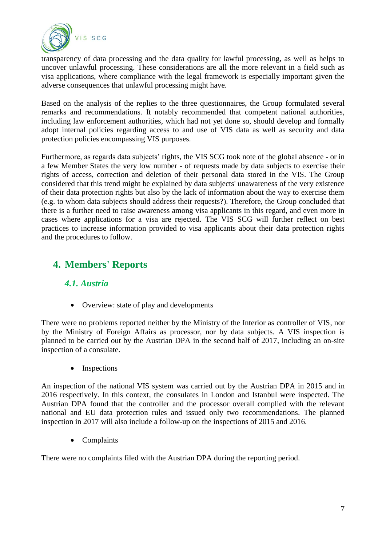

transparency of data processing and the data quality for lawful processing, as well as helps to uncover unlawful processing. These considerations are all the more relevant in a field such as visa applications, where compliance with the legal framework is especially important given the adverse consequences that unlawful processing might have.

Based on the analysis of the replies to the three questionnaires, the Group formulated several remarks and recommendations. It notably recommended that competent national authorities, including law enforcement authorities, which had not yet done so, should develop and formally adopt internal policies regarding access to and use of VIS data as well as security and data protection policies encompassing VIS purposes.

Furthermore, as regards data subjects' rights, the VIS SCG took note of the global absence - or in a few Member States the very low number - of requests made by data subjects to exercise their rights of access, correction and deletion of their personal data stored in the VIS. The Group considered that this trend might be explained by data subjects' unawareness of the very existence of their data protection rights but also by the lack of information about the way to exercise them (e.g. to whom data subjects should address their requests?). Therefore, the Group concluded that there is a further need to raise awareness among visa applicants in this regard, and even more in cases where applications for a visa are rejected. The VIS SCG will further reflect on best practices to increase information provided to visa applicants about their data protection rights and the procedures to follow.

# <span id="page-6-1"></span><span id="page-6-0"></span>**4. Members' Reports**

## *4.1. Austria*

• Overview: state of play and developments

There were no problems reported neither by the Ministry of the Interior as controller of VIS, nor by the Ministry of Foreign Affairs as processor, nor by data subjects. A VIS inspection is planned to be carried out by the Austrian DPA in the second half of 2017, including an on-site inspection of a consulate.

• Inspections

An inspection of the national VIS system was carried out by the Austrian DPA in 2015 and in 2016 respectively. In this context, the consulates in London and Istanbul were inspected. The Austrian DPA found that the controller and the processor overall complied with the relevant national and EU data protection rules and issued only two recommendations. The planned inspection in 2017 will also include a follow-up on the inspections of 2015 and 2016.

• Complaints

There were no complaints filed with the Austrian DPA during the reporting period.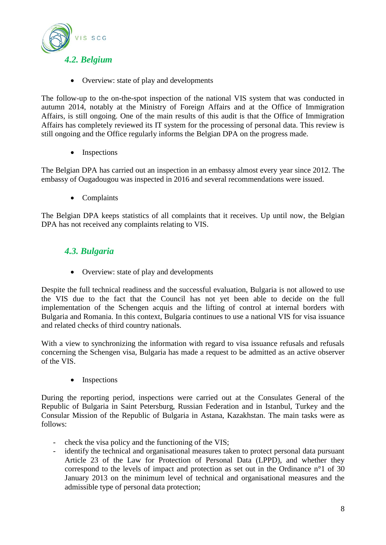<span id="page-7-0"></span>

• Overview: state of play and developments

The follow-up to the on-the-spot inspection of the national VIS system that was conducted in autumn 2014, notably at the Ministry of Foreign Affairs and at the Office of Immigration Affairs, is still ongoing. One of the main results of this audit is that the Office of Immigration Affairs has completely reviewed its IT system for the processing of personal data. This review is still ongoing and the Office regularly informs the Belgian DPA on the progress made.

• Inspections

The Belgian DPA has carried out an inspection in an embassy almost every year since 2012. The embassy of Ougadougou was inspected in 2016 and several recommendations were issued.

• Complaints

The Belgian DPA keeps statistics of all complaints that it receives. Up until now, the Belgian DPA has not received any complaints relating to VIS.

#### <span id="page-7-1"></span>*4.3. Bulgaria*

• Overview: state of play and developments

Despite the full technical readiness and the successful evaluation, Bulgaria is not allowed to use the VIS due to the fact that the Council has not yet been able to decide on the full implementation of the Schengen acquis and the lifting of control at internal borders with Bulgaria and Romania. In this context, Bulgaria continues to use a national VIS for visa issuance and related checks of third country nationals.

With a view to synchronizing the information with regard to visa issuance refusals and refusals concerning the Schengen visa, Bulgaria has made a request to be admitted as an active observer of the VIS.

• Inspections

During the reporting period, inspections were carried out at the Consulates General of the Republic of Bulgaria in Saint Petersburg, Russian Federation and in Istanbul, Turkey and the Consular Mission of the Republic of Bulgaria in Astana, Kazakhstan. The main tasks were as follows:

- check the visa policy and the functioning of the VIS;
- identify the technical and organisational measures taken to protect personal data pursuant Article 23 of the Law for Protection of Personal Data (LPPD), and whether they correspond to the levels of impact and protection as set out in the Ordinance n°1 of 30 January 2013 on the minimum level of technical and organisational measures and the admissible type of personal data protection;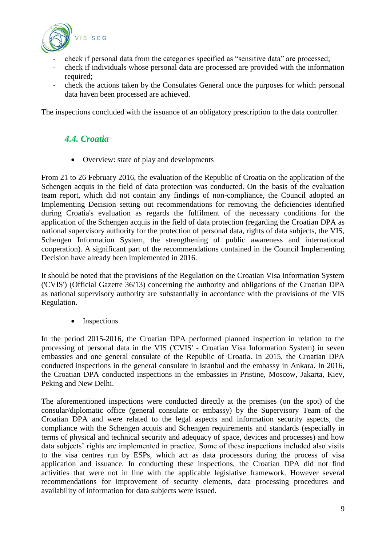

- check if personal data from the categories specified as "sensitive data" are processed;
- check if individuals whose personal data are processed are provided with the information required:
- check the actions taken by the Consulates General once the purposes for which personal data haven been processed are achieved.

<span id="page-8-0"></span>The inspections concluded with the issuance of an obligatory prescription to the data controller.

#### *4.4. Croatia*

• Overview: state of play and developments

From 21 to 26 February 2016, the evaluation of the Republic of Croatia on the application of the Schengen acquis in the field of data protection was conducted. On the basis of the evaluation team report, which did not contain any findings of non-compliance, the Council adopted an Implementing Decision setting out recommendations for removing the deficiencies identified during Croatia's evaluation as regards the fulfilment of the necessary conditions for the application of the Schengen acquis in the field of data protection (regarding the Croatian DPA as national supervisory authority for the protection of personal data, rights of data subjects, the VIS, Schengen Information System, the strengthening of public awareness and international cooperation). A significant part of the recommendations contained in the Council Implementing Decision have already been implemented in 2016.

It should be noted that the provisions of the Regulation on the Croatian Visa Information System ('CVIS') (Official Gazette 36/13) concerning the authority and obligations of the Croatian DPA as national supervisory authority are substantially in accordance with the provisions of the VIS Regulation.

Inspections

In the period 2015-2016, the Croatian DPA performed planned inspection in relation to the processing of personal data in the VIS ('CVIS' - Croatian Visa Information System) in seven embassies and one general consulate of the Republic of Croatia. In 2015, the Croatian DPA conducted inspections in the general consulate in Istanbul and the embassy in Ankara. In 2016, the Croatian DPA conducted inspections in the embassies in Pristine, Moscow, Jakarta, Kiev, Peking and New Delhi.

The aforementioned inspections were conducted directly at the premises (on the spot) of the consular/diplomatic office (general consulate or embassy) by the Supervisory Team of the Croatian DPA and were related to the legal aspects and information security aspects, the compliance with the Schengen acquis and Schengen requirements and standards (especially in terms of physical and technical security and adequacy of space, devices and processes) and how data subjects' rights are implemented in practice. Some of these inspections included also visits to the visa centres run by ESPs, which act as data processors during the process of visa application and issuance. In conducting these inspections, the Croatian DPA did not find activities that were not in line with the applicable legislative framework. However several recommendations for improvement of security elements, data processing procedures and availability of information for data subjects were issued.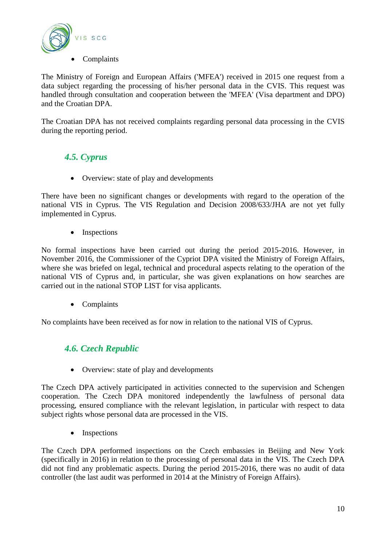

The Ministry of Foreign and European Affairs ('MFEA') received in 2015 one request from a data subject regarding the processing of his/her personal data in the CVIS. This request was handled through consultation and cooperation between the 'MFEA' (Visa department and DPO) and the Croatian DPA.

The Croatian DPA has not received complaints regarding personal data processing in the CVIS during the reporting period.

# <span id="page-9-0"></span>*4.5. Cyprus*

• Overview: state of play and developments

There have been no significant changes or developments with regard to the operation of the national VIS in Cyprus. The VIS Regulation and Decision 2008/633/JHA are not yet fully implemented in Cyprus.

• Inspections

No formal inspections have been carried out during the period 2015-2016. However, in November 2016, the Commissioner of the Cypriot DPA visited the Ministry of Foreign Affairs, where she was briefed on legal, technical and procedural aspects relating to the operation of the national VIS of Cyprus and, in particular, she was given explanations on how searches are carried out in the national STOP LIST for visa applicants.

• Complaints

<span id="page-9-1"></span>No complaints have been received as for now in relation to the national VIS of Cyprus.

## *4.6. Czech Republic*

• Overview: state of play and developments

The Czech DPA actively participated in activities connected to the supervision and Schengen cooperation. The Czech DPA monitored independently the lawfulness of personal data processing, ensured compliance with the relevant legislation, in particular with respect to data subject rights whose personal data are processed in the VIS.

Inspections

The Czech DPA performed inspections on the Czech embassies in Beijing and New York (specifically in 2016) in relation to the processing of personal data in the VIS. The Czech DPA did not find any problematic aspects. During the period 2015-2016, there was no audit of data controller (the last audit was performed in 2014 at the Ministry of Foreign Affairs).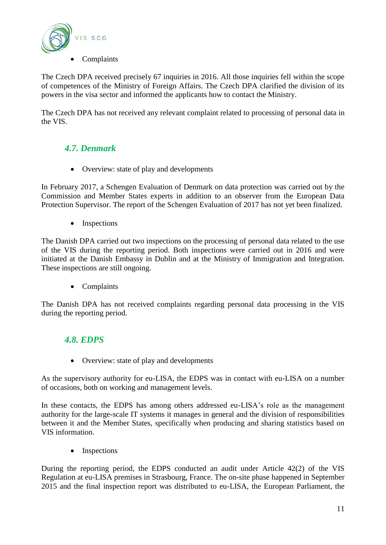

The Czech DPA received precisely 67 inquiries in 2016. All those inquiries fell within the scope of competences of the Ministry of Foreign Affairs. The Czech DPA clarified the division of its powers in the visa sector and informed the applicants how to contact the Ministry.

The Czech DPA has not received any relevant complaint related to processing of personal data in the VIS.

# <span id="page-10-0"></span>*4.7. Denmark*

• Overview: state of play and developments

In February 2017, a Schengen Evaluation of Denmark on data protection was carried out by the Commission and Member States experts in addition to an observer from the European Data Protection Supervisor. The report of the Schengen Evaluation of 2017 has not yet been finalized.

• Inspections

The Danish DPA carried out two inspections on the processing of personal data related to the use of the VIS during the reporting period. Both inspections were carried out in 2016 and were initiated at the Danish Embassy in Dublin and at the Ministry of Immigration and Integration. These inspections are still ongoing.

• Complaints

The Danish DPA has not received complaints regarding personal data processing in the VIS during the reporting period.

#### <span id="page-10-1"></span>*4.8. EDPS*

• Overview: state of play and developments

As the supervisory authority for eu-LISA, the EDPS was in contact with eu-LISA on a number of occasions, both on working and management levels.

In these contacts, the EDPS has among others addressed eu-LISA's role as the management authority for the large-scale IT systems it manages in general and the division of responsibilities between it and the Member States, specifically when producing and sharing statistics based on VIS information.

• Inspections

During the reporting period, the EDPS conducted an audit under Article 42(2) of the VIS Regulation at eu-LISA premises in Strasbourg, France. The on-site phase happened in September 2015 and the final inspection report was distributed to eu-LISA, the European Parliament, the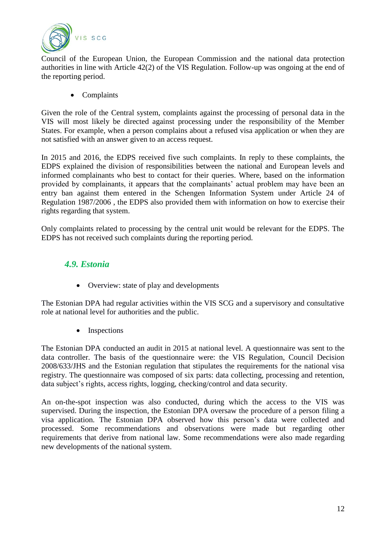

Council of the European Union, the European Commission and the national data protection authorities in line with Article 42(2) of the VIS Regulation. Follow-up was ongoing at the end of the reporting period.

• Complaints

Given the role of the Central system, complaints against the processing of personal data in the VIS will most likely be directed against processing under the responsibility of the Member States. For example, when a person complains about a refused visa application or when they are not satisfied with an answer given to an access request.

In 2015 and 2016, the EDPS received five such complaints. In reply to these complaints, the EDPS explained the division of responsibilities between the national and European levels and informed complainants who best to contact for their queries. Where, based on the information provided by complainants, it appears that the complainants' actual problem may have been an entry ban against them entered in the Schengen Information System under Article 24 of Regulation 1987/2006 , the EDPS also provided them with information on how to exercise their rights regarding that system.

Only complaints related to processing by the central unit would be relevant for the EDPS. The EDPS has not received such complaints during the reporting period.

#### <span id="page-11-0"></span>*4.9. Estonia*

• Overview: state of play and developments

The Estonian DPA had regular activities within the VIS SCG and a supervisory and consultative role at national level for authorities and the public.

• Inspections

The Estonian DPA conducted an audit in 2015 at national level. A questionnaire was sent to the data controller. The basis of the questionnaire were: the VIS Regulation, Council Decision 2008/633/JHS and the Estonian regulation that stipulates the requirements for the national visa registry. The questionnaire was composed of six parts: data collecting, processing and retention, data subject's rights, access rights, logging, checking/control and data security.

An on-the-spot inspection was also conducted, during which the access to the VIS was supervised. During the inspection, the Estonian DPA oversaw the procedure of a person filing a visa application. The Estonian DPA observed how this person's data were collected and processed. Some recommendations and observations were made but regarding other requirements that derive from national law. Some recommendations were also made regarding new developments of the national system.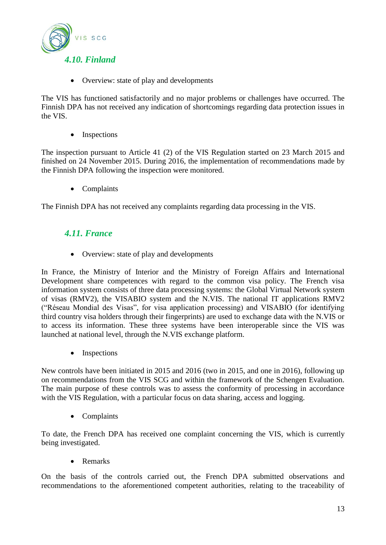<span id="page-12-0"></span>

• Overview: state of play and developments

The VIS has functioned satisfactorily and no major problems or challenges have occurred. The Finnish DPA has not received any indication of shortcomings regarding data protection issues in the VIS.

• Inspections

The inspection pursuant to Article 41 (2) of the VIS Regulation started on 23 March 2015 and finished on 24 November 2015. During 2016, the implementation of recommendations made by the Finnish DPA following the inspection were monitored.

• Complaints

<span id="page-12-1"></span>The Finnish DPA has not received any complaints regarding data processing in the VIS.

#### *4.11. France*

• Overview: state of play and developments

In France, the Ministry of Interior and the Ministry of Foreign Affairs and International Development share competences with regard to the common visa policy. The French visa information system consists of three data processing systems: the Global Virtual Network system of visas (RMV2), the VISABIO system and the N.VIS. The national IT applications RMV2 ("Réseau Mondial des Visas", for visa application processing) and VISABIO (for identifying third country visa holders through their fingerprints) are used to exchange data with the N.VIS or to access its information. These three systems have been interoperable since the VIS was launched at national level, through the N.VIS exchange platform.

• Inspections

New controls have been initiated in 2015 and 2016 (two in 2015, and one in 2016), following up on recommendations from the VIS SCG and within the framework of the Schengen Evaluation. The main purpose of these controls was to assess the conformity of processing in accordance with the VIS Regulation, with a particular focus on data sharing, access and logging.

• Complaints

To date, the French DPA has received one complaint concerning the VIS, which is currently being investigated.

• Remarks

On the basis of the controls carried out, the French DPA submitted observations and recommendations to the aforementioned competent authorities, relating to the traceability of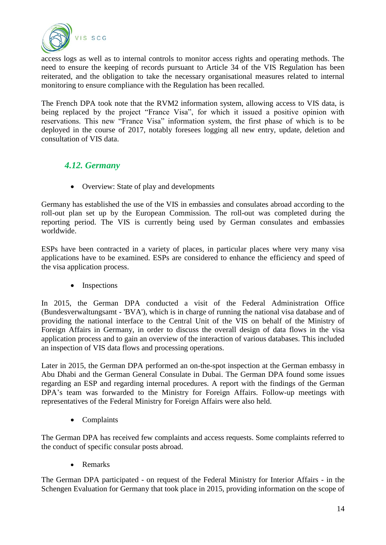

access logs as well as to internal controls to monitor access rights and operating methods. The need to ensure the keeping of records pursuant to Article 34 of the VIS Regulation has been reiterated, and the obligation to take the necessary organisational measures related to internal monitoring to ensure compliance with the Regulation has been recalled.

The French DPA took note that the RVM2 information system, allowing access to VIS data, is being replaced by the project "France Visa", for which it issued a positive opinion with reservations. This new "France Visa" information system, the first phase of which is to be deployed in the course of 2017, notably foresees logging all new entry, update, deletion and consultation of VIS data.

#### <span id="page-13-0"></span>*4.12. Germany*

• Overview: State of play and developments

Germany has established the use of the VIS in embassies and consulates abroad according to the roll-out plan set up by the European Commission. The roll-out was completed during the reporting period. The VIS is currently being used by German consulates and embassies worldwide.

ESPs have been contracted in a variety of places, in particular places where very many visa applications have to be examined. ESPs are considered to enhance the efficiency and speed of the visa application process.

• Inspections

In 2015, the German DPA conducted a visit of the Federal Administration Office (Bundesverwaltungsamt - 'BVA'), which is in charge of running the national visa database and of providing the national interface to the Central Unit of the VIS on behalf of the Ministry of Foreign Affairs in Germany, in order to discuss the overall design of data flows in the visa application process and to gain an overview of the interaction of various databases. This included an inspection of VIS data flows and processing operations.

Later in 2015, the German DPA performed an on-the-spot inspection at the German embassy in Abu Dhabi and the German General Consulate in Dubai. The German DPA found some issues regarding an ESP and regarding internal procedures. A report with the findings of the German DPA's team was forwarded to the Ministry for Foreign Affairs. Follow-up meetings with representatives of the Federal Ministry for Foreign Affairs were also held.

• Complaints

The German DPA has received few complaints and access requests. Some complaints referred to the conduct of specific consular posts abroad.

• Remarks

The German DPA participated - on request of the Federal Ministry for Interior Affairs - in the Schengen Evaluation for Germany that took place in 2015, providing information on the scope of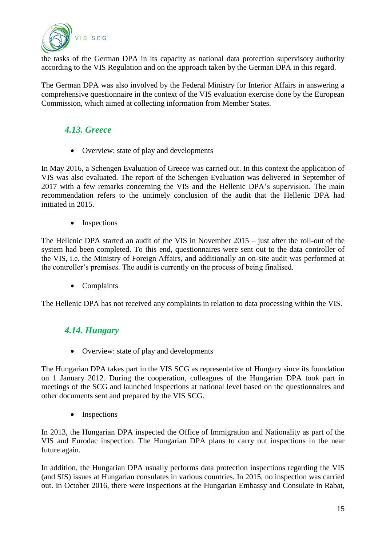

the tasks of the German DPA in its capacity as national data protection supervisory authority according to the VIS Regulation and on the approach taken by the German DPA in this regard.

The German DPA was also involved by the Federal Ministry for Interior Affairs in answering a comprehensive questionnaire in the context of the VIS evaluation exercise done by the European Commission, which aimed at collecting information from Member States.

# <span id="page-14-0"></span>*4.13. Greece*

• Overview: state of play and developments

In May 2016, a Schengen Evaluation of Greece was carried out. In this context the application of VIS was also evaluated. The report of the Schengen Evaluation was delivered in September of 2017 with a few remarks concerning the VIS and the Hellenic DPA's supervision. The main recommendation refers to the untimely conclusion of the audit that the Hellenic DPA had initiated in 2015.

• Inspections

The Hellenic DPA started an audit of the VIS in November 2015 – just after the roll-out of the system had been completed. To this end, questionnaires were sent out to the data controller of the VIS, i.e. the Ministry of Foreign Affairs, and additionally an on-site audit was performed at the controller's premises. The audit is currently on the process of being finalised.

• Complaints

<span id="page-14-1"></span>The Hellenic DPA has not received any complaints in relation to data processing within the VIS.

## *4.14. Hungary*

• Overview: state of play and developments

The Hungarian DPA takes part in the VIS SCG as representative of Hungary since its foundation on 1 January 2012. During the cooperation, colleagues of the Hungarian DPA took part in meetings of the SCG and launched inspections at national level based on the questionnaires and other documents sent and prepared by the VIS SCG.

• Inspections

In 2013, the Hungarian DPA inspected the Office of Immigration and Nationality as part of the VIS and Eurodac inspection. The Hungarian DPA plans to carry out inspections in the near future again.

In addition, the Hungarian DPA usually performs data protection inspections regarding the VIS (and SIS) issues at Hungarian consulates in various countries. In 2015, no inspection was carried out. In October 2016, there were inspections at the Hungarian Embassy and Consulate in Rabat,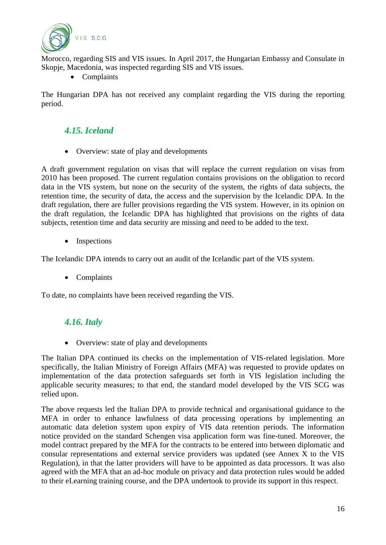

Morocco, regarding SIS and VIS issues. In April 2017, the Hungarian Embassy and Consulate in Skopje, Macedonia, was inspected regarding SIS and VIS issues.

• Complaints

The Hungarian DPA has not received any complaint regarding the VIS during the reporting period.

# <span id="page-15-0"></span>*4.15. Iceland*

• Overview: state of play and developments

A draft government regulation on visas that will replace the current regulation on visas from 2010 has been proposed. The current regulation contains provisions on the obligation to record data in the VIS system, but none on the security of the system, the rights of data subjects, the retention time, the security of data, the access and the supervision by the Icelandic DPA. In the draft regulation, there are fuller provisions regarding the VIS system. However, in its opinion on the draft regulation, the Icelandic DPA has highlighted that provisions on the rights of data subjects, retention time and data security are missing and need to be added to the text.

• Inspections

The Icelandic DPA intends to carry out an audit of the Icelandic part of the VIS system.

Complaints

<span id="page-15-1"></span>To date, no complaints have been received regarding the VIS.

## *4.16. Italy*

• Overview: state of play and developments

The Italian DPA continued its checks on the implementation of VIS-related legislation. More specifically, the Italian Ministry of Foreign Affairs (MFA) was requested to provide updates on implementation of the data protection safeguards set forth in VIS legislation including the applicable security measures; to that end, the standard model developed by the VIS SCG was relied upon.

The above requests led the Italian DPA to provide technical and organisational guidance to the MFA in order to enhance lawfulness of data processing operations by implementing an automatic data deletion system upon expiry of VIS data retention periods. The information notice provided on the standard Schengen visa application form was fine-tuned. Moreover, the model contract prepared by the MFA for the contracts to be entered into between diplomatic and consular representations and external service providers was updated (see Annex X to the VIS Regulation), in that the latter providers will have to be appointed as data processors. It was also agreed with the MFA that an ad-hoc module on privacy and data protection rules would be added to their eLearning training course, and the DPA undertook to provide its support in this respect.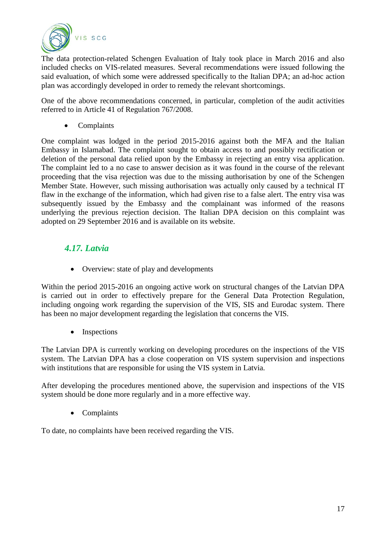

The data protection-related Schengen Evaluation of Italy took place in March 2016 and also included checks on VIS-related measures. Several recommendations were issued following the said evaluation, of which some were addressed specifically to the Italian DPA; an ad-hoc action plan was accordingly developed in order to remedy the relevant shortcomings.

One of the above recommendations concerned, in particular, completion of the audit activities referred to in Article 41 of Regulation 767/2008.

• Complaints

One complaint was lodged in the period 2015-2016 against both the MFA and the Italian Embassy in Islamabad. The complaint sought to obtain access to and possibly rectification or deletion of the personal data relied upon by the Embassy in rejecting an entry visa application. The complaint led to a no case to answer decision as it was found in the course of the relevant proceeding that the visa rejection was due to the missing authorisation by one of the Schengen Member State. However, such missing authorisation was actually only caused by a technical IT flaw in the exchange of the information, which had given rise to a false alert. The entry visa was subsequently issued by the Embassy and the complainant was informed of the reasons underlying the previous rejection decision. The Italian DPA decision on this complaint was adopted on 29 September 2016 and is available on its website.

#### <span id="page-16-0"></span>*4.17. Latvia*

• Overview: state of play and developments

Within the period 2015-2016 an ongoing active work on structural changes of the Latvian DPA is carried out in order to effectively prepare for the General Data Protection Regulation, including ongoing work regarding the supervision of the VIS, SIS and Eurodac system. There has been no major development regarding the legislation that concerns the VIS.

• Inspections

The Latvian DPA is currently working on developing procedures on the inspections of the VIS system. The Latvian DPA has a close cooperation on VIS system supervision and inspections with institutions that are responsible for using the VIS system in Latvia.

After developing the procedures mentioned above, the supervision and inspections of the VIS system should be done more regularly and in a more effective way.

• Complaints

To date, no complaints have been received regarding the VIS.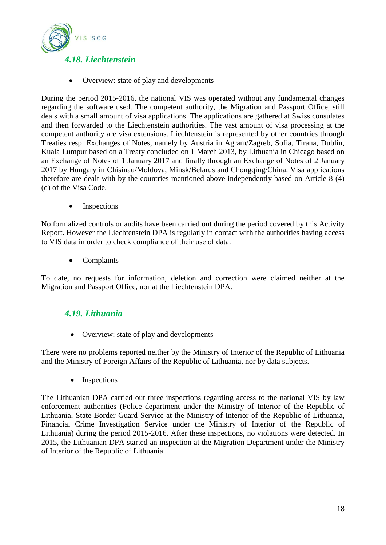<span id="page-17-0"></span>

• Overview: state of play and developments

During the period 2015-2016, the national VIS was operated without any fundamental changes regarding the software used. The competent authority, the Migration and Passport Office, still deals with a small amount of visa applications. The applications are gathered at Swiss consulates and then forwarded to the Liechtenstein authorities. The vast amount of visa processing at the competent authority are visa extensions. Liechtenstein is represented by other countries through Treaties resp. Exchanges of Notes, namely by Austria in Agram/Zagreb, Sofia, Tirana, Dublin, Kuala Lumpur based on a Treaty concluded on 1 March 2013, by Lithuania in Chicago based on an Exchange of Notes of 1 January 2017 and finally through an Exchange of Notes of 2 January 2017 by Hungary in Chisinau/Moldova, Minsk/Belarus and Chongqing/China. Visa applications therefore are dealt with by the countries mentioned above independently based on Article 8 (4) (d) of the Visa Code.

• Inspections

No formalized controls or audits have been carried out during the period covered by this Activity Report. However the Liechtenstein DPA is regularly in contact with the authorities having access to VIS data in order to check compliance of their use of data.

• Complaints

To date, no requests for information, deletion and correction were claimed neither at the Migration and Passport Office, nor at the Liechtenstein DPA.

#### <span id="page-17-1"></span>*4.19. Lithuania*

• Overview: state of play and developments

There were no problems reported neither by the Ministry of Interior of the Republic of Lithuania and the Ministry of Foreign Affairs of the Republic of Lithuania, nor by data subjects.

• Inspections

The Lithuanian DPA carried out three inspections regarding access to the national VIS by law enforcement authorities (Police department under the Ministry of Interior of the Republic of Lithuania, State Border Guard Service at the Ministry of Interior of the Republic of Lithuania, Financial Crime Investigation Service under the Ministry of Interior of the Republic of Lithuania) during the period 2015-2016. After these inspections, no violations were detected. In 2015, the Lithuanian DPA started an inspection at the Migration Department under the Ministry of Interior of the Republic of Lithuania.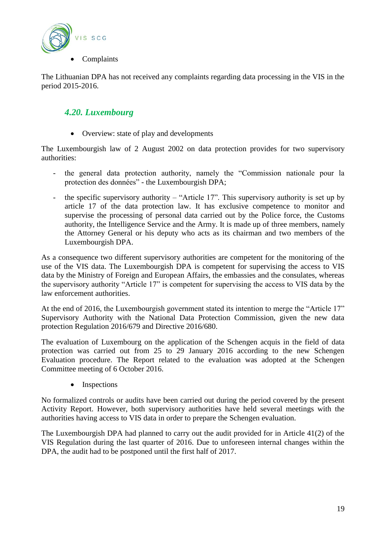

The Lithuanian DPA has not received any complaints regarding data processing in the VIS in the period 2015-2016.

# <span id="page-18-0"></span>*4.20. Luxembourg*

• Overview: state of play and developments

The Luxembourgish law of 2 August 2002 on data protection provides for two supervisory authorities:

- the general data protection authority, namely the "Commission nationale pour la protection des données" - the Luxembourgish DPA;
- the specific supervisory authority "Article 17". This supervisory authority is set up by article 17 of the data protection law. It has exclusive competence to monitor and supervise the processing of personal data carried out by the Police force, the Customs authority, the Intelligence Service and the Army. It is made up of three members, namely the Attorney General or his deputy who acts as its chairman and two members of the Luxembourgish DPA.

As a consequence two different supervisory authorities are competent for the monitoring of the use of the VIS data. The Luxembourgish DPA is competent for supervising the access to VIS data by the Ministry of Foreign and European Affairs, the embassies and the consulates, whereas the supervisory authority "Article 17" is competent for supervising the access to VIS data by the law enforcement authorities.

At the end of 2016, the Luxembourgish government stated its intention to merge the "Article 17" Supervisory Authority with the National Data Protection Commission, given the new data protection Regulation 2016/679 and Directive 2016/680.

The evaluation of Luxembourg on the application of the Schengen acquis in the field of data protection was carried out from 25 to 29 January 2016 according to the new Schengen Evaluation procedure. The Report related to the evaluation was adopted at the Schengen Committee meeting of 6 October 2016.

• Inspections

No formalized controls or audits have been carried out during the period covered by the present Activity Report. However, both supervisory authorities have held several meetings with the authorities having access to VIS data in order to prepare the Schengen evaluation.

The Luxembourgish DPA had planned to carry out the audit provided for in Article 41(2) of the VIS Regulation during the last quarter of 2016. Due to unforeseen internal changes within the DPA, the audit had to be postponed until the first half of 2017.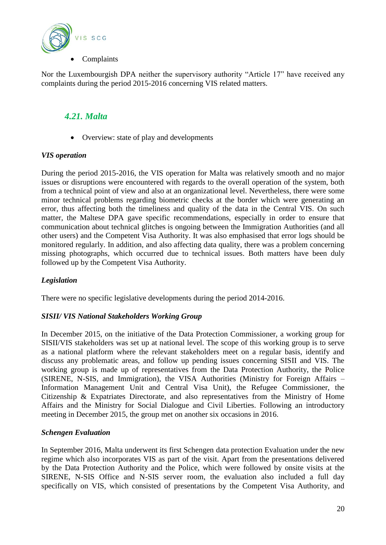

Nor the Luxembourgish DPA neither the supervisory authority "Article 17" have received any complaints during the period 2015-2016 concerning VIS related matters.

#### <span id="page-19-0"></span>*4.21. Malta*

• Overview: state of play and developments

#### *VIS operation*

During the period 2015-2016, the VIS operation for Malta was relatively smooth and no major issues or disruptions were encountered with regards to the overall operation of the system, both from a technical point of view and also at an organizational level. Nevertheless, there were some minor technical problems regarding biometric checks at the border which were generating an error, thus affecting both the timeliness and quality of the data in the Central VIS. On such matter, the Maltese DPA gave specific recommendations, especially in order to ensure that communication about technical glitches is ongoing between the Immigration Authorities (and all other users) and the Competent Visa Authority. It was also emphasised that error logs should be monitored regularly. In addition, and also affecting data quality, there was a problem concerning missing photographs, which occurred due to technical issues. Both matters have been duly followed up by the Competent Visa Authority.

#### *Legislation*

There were no specific legislative developments during the period 2014-2016.

#### *SISII/ VIS National Stakeholders Working Group*

In December 2015, on the initiative of the Data Protection Commissioner, a working group for SISII/VIS stakeholders was set up at national level. The scope of this working group is to serve as a national platform where the relevant stakeholders meet on a regular basis, identify and discuss any problematic areas, and follow up pending issues concerning SISII and VIS. The working group is made up of representatives from the Data Protection Authority, the Police (SIRENE, N-SIS, and Immigration), the VISA Authorities (Ministry for Foreign Affairs – Information Management Unit and Central Visa Unit), the Refugee Commissioner, the Citizenship & Expatriates Directorate, and also representatives from the Ministry of Home Affairs and the Ministry for Social Dialogue and Civil Liberties. Following an introductory meeting in December 2015, the group met on another six occasions in 2016.

#### *Schengen Evaluation*

In September 2016, Malta underwent its first Schengen data protection Evaluation under the new regime which also incorporates VIS as part of the visit. Apart from the presentations delivered by the Data Protection Authority and the Police, which were followed by onsite visits at the SIRENE, N-SIS Office and N-SIS server room, the evaluation also included a full day specifically on VIS, which consisted of presentations by the Competent Visa Authority, and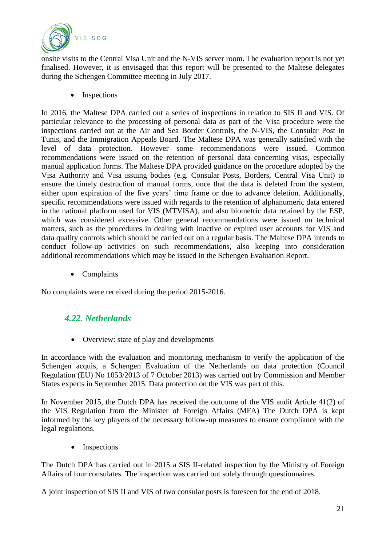

onsite visits to the Central Visa Unit and the N-VIS server room. The evaluation report is not yet finalised. However, it is envisaged that this report will be presented to the Maltese delegates during the Schengen Committee meeting in July 2017.

• Inspections

In 2016, the Maltese DPA carried out a series of inspections in relation to SIS II and VIS. Of particular relevance to the processing of personal data as part of the Visa procedure were the inspections carried out at the Air and Sea Border Controls, the N-VIS, the Consular Post in Tunis, and the Immigration Appeals Board. The Maltese DPA was generally satisfied with the level of data protection. However some recommendations were issued. Common recommendations were issued on the retention of personal data concerning visas, especially manual application forms. The Maltese DPA provided guidance on the procedure adopted by the Visa Authority and Visa issuing bodies (e.g. Consular Posts, Borders, Central Visa Unit) to ensure the timely destruction of manual forms, once that the data is deleted from the system, either upon expiration of the five years' time frame or due to advance deletion. Additionally, specific recommendations were issued with regards to the retention of alphanumeric data entered in the national platform used for VIS (MTVISA), and also biometric data retained by the ESP, which was considered excessive. Other general recommendations were issued on technical matters, such as the procedures in dealing with inactive or expired user accounts for VIS and data quality controls which should be carried out on a regular basis. The Maltese DPA intends to conduct follow-up activities on such recommendations, also keeping into consideration additional recommendations which may be issued in the Schengen Evaluation Report.

• Complaints

<span id="page-20-0"></span>No complaints were received during the period 2015-2016.

#### *4.22. Netherlands*

• Overview: state of play and developments

In accordance with the evaluation and monitoring mechanism to verify the application of the Schengen acquis, a Schengen Evaluation of the Netherlands on data protection (Council Regulation (EU) No 1053/2013 of 7 October 2013) was carried out by Commission and Member States experts in September 2015. Data protection on the VIS was part of this.

In November 2015, the Dutch DPA has received the outcome of the VIS audit Article 41(2) of the VIS Regulation from the Minister of Foreign Affairs (MFA) The Dutch DPA is kept informed by the key players of the necessary follow-up measures to ensure compliance with the legal regulations.

• Inspections

The Dutch DPA has carried out in 2015 a SIS II-related inspection by the Ministry of Foreign Affairs of four consulates. The inspection was carried out solely through questionnaires.

A joint inspection of SIS II and VIS of two consular posts is foreseen for the end of 2018.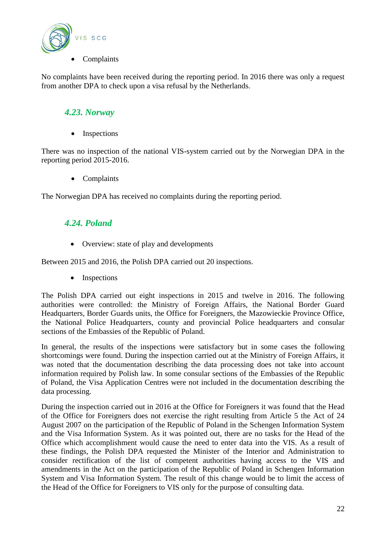

No complaints have been received during the reporting period. In 2016 there was only a request from another DPA to check upon a visa refusal by the Netherlands.

#### <span id="page-21-0"></span>*4.23. Norway*

• Inspections

There was no inspection of the national VIS-system carried out by the Norwegian DPA in the reporting period 2015-2016.

• Complaints

<span id="page-21-1"></span>The Norwegian DPA has received no complaints during the reporting period.

#### *4.24. Poland*

• Overview: state of play and developments

Between 2015 and 2016, the Polish DPA carried out 20 inspections.

• Inspections

The Polish DPA carried out eight inspections in 2015 and twelve in 2016. The following authorities were controlled: the Ministry of Foreign Affairs, the National Border Guard Headquarters, Border Guards units, the Office for Foreigners, the Mazowieckie Province Office, the National Police Headquarters, county and provincial Police headquarters and consular sections of the Embassies of the Republic of Poland.

In general, the results of the inspections were satisfactory but in some cases the following shortcomings were found. During the inspection carried out at the Ministry of Foreign Affairs, it was noted that the documentation describing the data processing does not take into account information required by Polish law. In some consular sections of the Embassies of the Republic of Poland, the Visa Application Centres were not included in the documentation describing the data processing.

During the inspection carried out in 2016 at the Office for Foreigners it was found that the Head of the Office for Foreigners does not exercise the right resulting from Article 5 the Act of 24 August 2007 on the participation of the Republic of Poland in the Schengen Information System and the Visa Information System. As it was pointed out, there are no tasks for the Head of the Office which accomplishment would cause the need to enter data into the VIS. As a result of these findings, the Polish DPA requested the Minister of the Interior and Administration to consider rectification of the list of competent authorities having access to the VIS and amendments in the Act on the participation of the Republic of Poland in Schengen Information System and Visa Information System. The result of this change would be to limit the access of the Head of the Office for Foreigners to VIS only for the purpose of consulting data.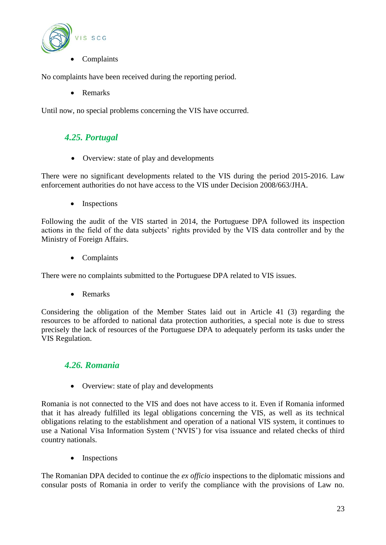

No complaints have been received during the reporting period.

Remarks

<span id="page-22-0"></span>Until now, no special problems concerning the VIS have occurred.

#### *4.25. Portugal*

• Overview: state of play and developments

There were no significant developments related to the VIS during the period 2015-2016. Law enforcement authorities do not have access to the VIS under Decision 2008/663/JHA.

• Inspections

Following the audit of the VIS started in 2014, the Portuguese DPA followed its inspection actions in the field of the data subjects' rights provided by the VIS data controller and by the Ministry of Foreign Affairs.

• Complaints

There were no complaints submitted to the Portuguese DPA related to VIS issues.

• Remarks

Considering the obligation of the Member States laid out in Article 41 (3) regarding the resources to be afforded to national data protection authorities, a special note is due to stress precisely the lack of resources of the Portuguese DPA to adequately perform its tasks under the VIS Regulation.

#### <span id="page-22-1"></span>*4.26. Romania*

• Overview: state of play and developments

Romania is not connected to the VIS and does not have access to it. Even if Romania informed that it has already fulfilled its legal obligations concerning the VIS, as well as its technical obligations relating to the establishment and operation of a national VIS system, it continues to use a National Visa Information System ('NVIS') for visa issuance and related checks of third country nationals.

• Inspections

The Romanian DPA decided to continue the *ex officio* inspections to the diplomatic missions and consular posts of Romania in order to verify the compliance with the provisions of Law no.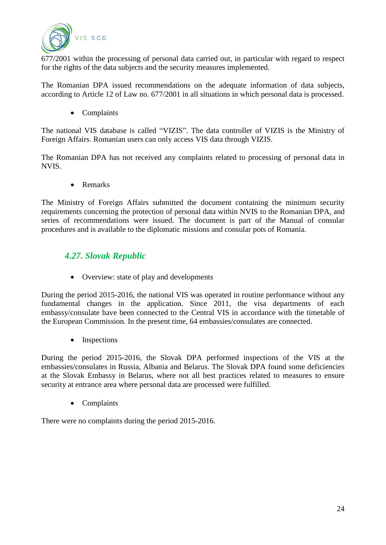

677/2001 within the processing of personal data carried out, in particular with regard to respect for the rights of the data subjects and the security measures implemented.

The Romanian DPA issued recommendations on the adequate information of data subjects, according to Article 12 of Law no. 677/2001 in all situations in which personal data is processed.

• Complaints

The national VIS database is called "VIZIS". The data controller of VIZIS is the Ministry of Foreign Affairs. Romanian users can only access VIS data through VIZIS.

The Romanian DPA has not received any complaints related to processing of personal data in NVIS.

• Remarks

The Ministry of Foreign Affairs submitted the document containing the minimum security requirements concerning the protection of personal data within NVIS to the Romanian DPA, and series of recommendations were issued. The document is part of the Manual of consular procedures and is available to the diplomatic missions and consular pots of Romania.

#### <span id="page-23-0"></span>*4.27. Slovak Republic*

• Overview: state of play and developments

During the period 2015-2016, the national VIS was operated in routine performance without any fundamental changes in the application. Since 2011, the visa departments of each embassy/consulate have been connected to the Central VIS in accordance with the timetable of the European Commission. In the present time, 64 embassies/consulates are connected.

• Inspections

During the period 2015-2016, the Slovak DPA performed inspections of the VIS at the embassies/consulates in Russia, Albania and Belarus. The Slovak DPA found some deficiencies at the Slovak Embassy in Belarus, where not all best practices related to measures to ensure security at entrance area where personal data are processed were fulfilled.

• Complaints

There were no complaints during the period 2015-2016.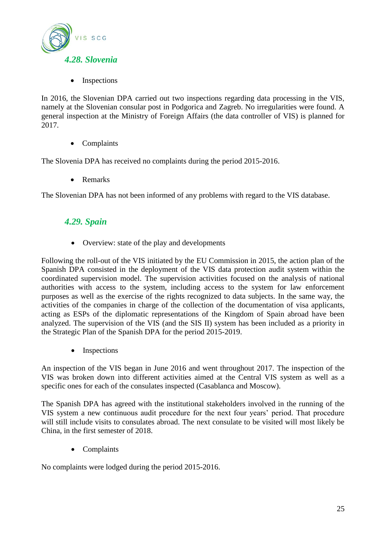<span id="page-24-0"></span>

Inspections

In 2016, the Slovenian DPA carried out two inspections regarding data processing in the VIS, namely at the Slovenian consular post in Podgorica and Zagreb. No irregularities were found. A general inspection at the Ministry of Foreign Affairs (the data controller of VIS) is planned for 2017.

• Complaints

The Slovenia DPA has received no complaints during the period 2015-2016.

• Remarks

<span id="page-24-1"></span>The Slovenian DPA has not been informed of any problems with regard to the VIS database.

#### *4.29. Spain*

• Overview: state of the play and developments

Following the roll-out of the VIS initiated by the EU Commission in 2015, the action plan of the Spanish DPA consisted in the deployment of the VIS data protection audit system within the coordinated supervision model. The supervision activities focused on the analysis of national authorities with access to the system, including access to the system for law enforcement purposes as well as the exercise of the rights recognized to data subjects. In the same way, the activities of the companies in charge of the collection of the documentation of visa applicants, acting as ESPs of the diplomatic representations of the Kingdom of Spain abroad have been analyzed. The supervision of the VIS (and the SIS II) system has been included as a priority in the Strategic Plan of the Spanish DPA for the period 2015-2019.

• Inspections

An inspection of the VIS began in June 2016 and went throughout 2017. The inspection of the VIS was broken down into different activities aimed at the Central VIS system as well as a specific ones for each of the consulates inspected (Casablanca and Moscow).

The Spanish DPA has agreed with the institutional stakeholders involved in the running of the VIS system a new continuous audit procedure for the next four years' period. That procedure will still include visits to consulates abroad. The next consulate to be visited will most likely be China, in the first semester of 2018.

Complaints

No complaints were lodged during the period 2015-2016.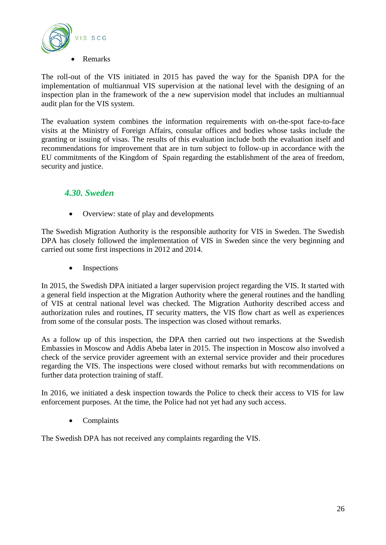

The roll-out of the VIS initiated in 2015 has paved the way for the Spanish DPA for the implementation of multiannual VIS supervision at the national level with the designing of an inspection plan in the framework of the a new supervision model that includes an multiannual audit plan for the VIS system.

The evaluation system combines the information requirements with on-the-spot face-to-face visits at the Ministry of Foreign Affairs, consular offices and bodies whose tasks include the granting or issuing of visas. The results of this evaluation include both the evaluation itself and recommendations for improvement that are in turn subject to follow-up in accordance with the EU commitments of the Kingdom of Spain regarding the establishment of the area of freedom, security and justice.

## <span id="page-25-0"></span>*4.30. Sweden*

• Overview: state of play and developments

The Swedish Migration Authority is the responsible authority for VIS in Sweden. The Swedish DPA has closely followed the implementation of VIS in Sweden since the very beginning and carried out some first inspections in 2012 and 2014.

• Inspections

In 2015, the Swedish DPA initiated a larger supervision project regarding the VIS. It started with a general field inspection at the Migration Authority where the general routines and the handling of VIS at central national level was checked. The Migration Authority described access and authorization rules and routines, IT security matters, the VIS flow chart as well as experiences from some of the consular posts. The inspection was closed without remarks.

As a follow up of this inspection, the DPA then carried out two inspections at the Swedish Embassies in Moscow and Addis Abeba later in 2015. The inspection in Moscow also involved a check of the service provider agreement with an external service provider and their procedures regarding the VIS. The inspections were closed without remarks but with recommendations on further data protection training of staff.

In 2016, we initiated a desk inspection towards the Police to check their access to VIS for law enforcement purposes. At the time, the Police had not yet had any such access.

• Complaints

The Swedish DPA has not received any complaints regarding the VIS.